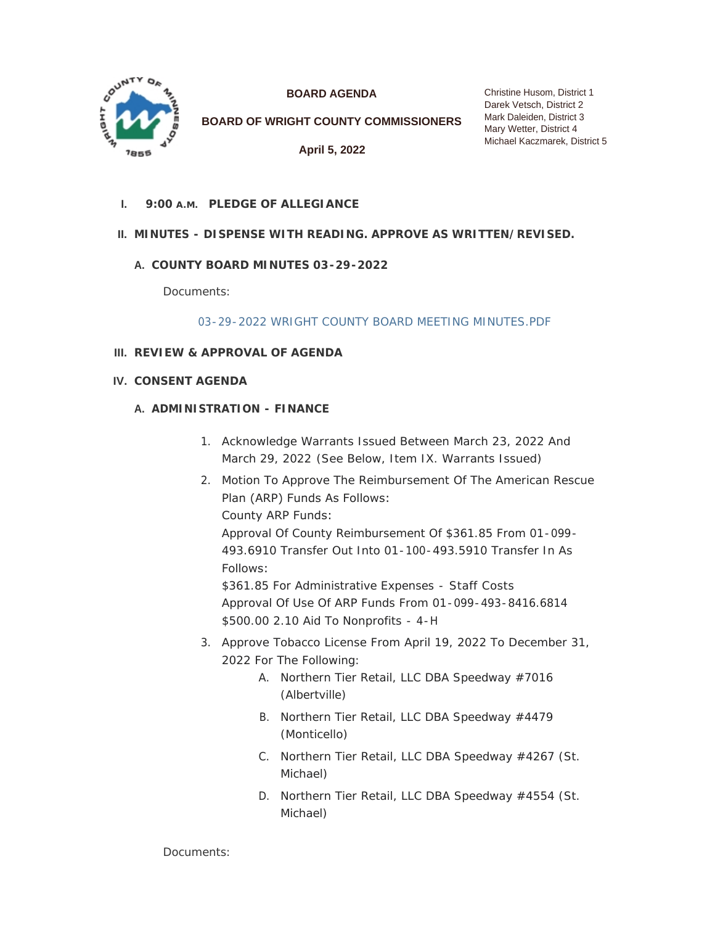

**BOARD AGENDA**

**BOARD OF WRIGHT COUNTY COMMISSIONERS**

**April 5, 2022**

# **PLEDGE OF ALLEGIANCE I. 9:00 A.M.**

# **MINUTES - DISPENSE WITH READING. APPROVE AS WRITTEN/REVISED. II.**

# **COUNTY BOARD MINUTES 03-29-2022 A.**

Documents:

## [03-29-2022 WRIGHT COUNTY BOARD MEETING MINUTES.PDF](https://www.co.wright.mn.us/AgendaCenter/ViewFile/Item/10509?fileID=22870)

## **REVIEW & APPROVAL OF AGENDA III.**

**CONSENT AGENDA IV.**

## **A. ADMINISTRATION - FINANCE**

- 1. Acknowledge Warrants Issued Between March 23, 2022 And March 29, 2022 *(See Below, Item IX. Warrants Issued)*
- 2. Motion To Approve The Reimbursement Of The American Rescue Plan (ARP) Funds As Follows: County ARP Funds:

Approval Of County Reimbursement Of \$361.85 From 01-099- 493.6910 Transfer Out Into 01-100-493.5910 Transfer In As Follows:

\$361.85 For Administrative Expenses - Staff Costs Approval Of Use Of ARP Funds From 01-099-493-8416.6814 \$500.00 2.10 Aid To Nonprofits - 4-H

- 3. Approve Tobacco License From April 19, 2022 To December 31, 2022 For The Following:
	- A. Northern Tier Retail, LLC DBA Speedway #7016 (Albertville)
	- B. Northern Tier Retail, LLC DBA Speedway #4479 (Monticello)
	- C. Northern Tier Retail, LLC DBA Speedway #4267 (St. Michael)
	- D. Northern Tier Retail, LLC DBA Speedway #4554 (St. Michael)

Documents: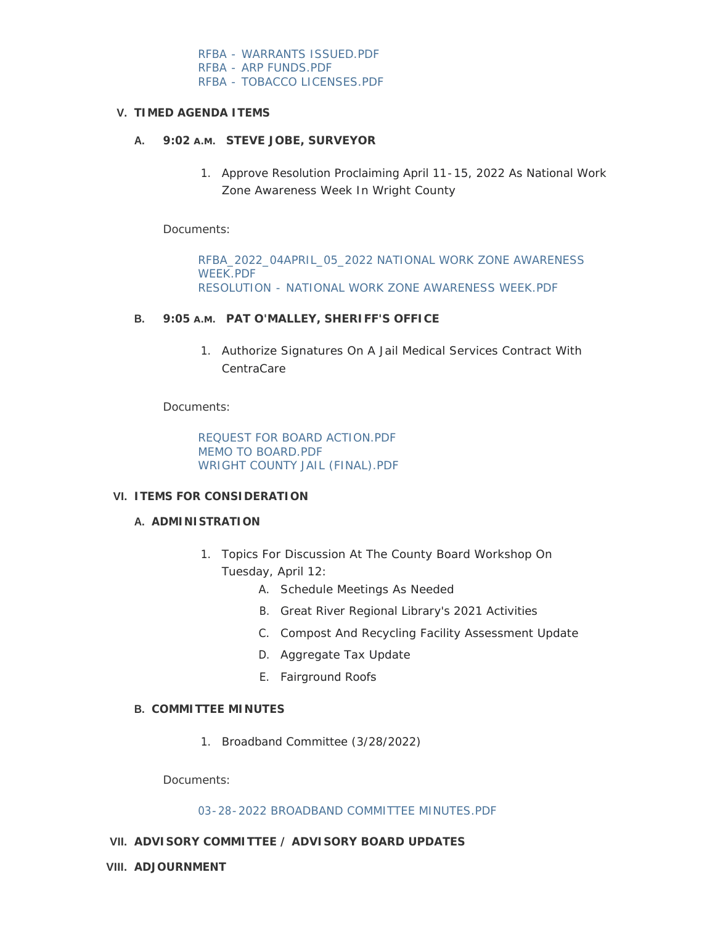[RFBA - WARRANTS ISSUED.PDF](https://www.co.wright.mn.us/AgendaCenter/ViewFile/Item/10519?fileID=22871) [RFBA - ARP FUNDS.PDF](https://www.co.wright.mn.us/AgendaCenter/ViewFile/Item/10519?fileID=22872) [RFBA - TOBACCO LICENSES.PDF](https://www.co.wright.mn.us/AgendaCenter/ViewFile/Item/10519?fileID=22893)

## **TIMED AGENDA ITEMS V.**

## **STEVE JOBE, SURVEYOR A. 9:02 A.M.**

1. Approve Resolution Proclaiming April 11-15, 2022 As National Work Zone Awareness Week In Wright County

Documents:

[RFBA\\_2022\\_04APRIL\\_05\\_2022 NATIONAL WORK ZONE AWARENESS](https://www.co.wright.mn.us/AgendaCenter/ViewFile/Item/10515?fileID=22866)  WEEK.PDF [RESOLUTION - NATIONAL WORK ZONE AWARENESS WEEK.PDF](https://www.co.wright.mn.us/AgendaCenter/ViewFile/Item/10515?fileID=22869)

#### B. 9:05 A.M. PAT O'MALLEY, SHERIFF'S OFFICE

1. Authorize Signatures On A Jail Medical Services Contract With CentraCare

Documents:

[REQUEST FOR BOARD ACTION.PDF](https://www.co.wright.mn.us/AgendaCenter/ViewFile/Item/10522?fileID=22897) [MEMO TO BOARD.PDF](https://www.co.wright.mn.us/AgendaCenter/ViewFile/Item/10522?fileID=22895) [WRIGHT COUNTY JAIL \(FINAL\).PDF](https://www.co.wright.mn.us/AgendaCenter/ViewFile/Item/10522?fileID=22896)

### **ITEMS FOR CONSIDERATION VI.**

#### **A. ADMINISTRATION**

- 1. Topics For Discussion At The County Board Workshop On Tuesday, April 12:
	- A. Schedule Meetings As Needed
	- B. Great River Regional Library's 2021 Activities
	- C. Compost And Recycling Facility Assessment Update
	- D. Aggregate Tax Update
	- E. Fairground Roofs

## **COMMITTEE MINUTES B.**

1. Broadband Committee (3/28/2022)

Documents:

#### [03-28-2022 BROADBAND COMMITTEE MINUTES.PDF](https://www.co.wright.mn.us/AgendaCenter/ViewFile/Item/10510?fileID=22892)

## **ADVISORY COMMITTEE / ADVISORY BOARD UPDATES VII.**

**ADJOURNMENT VIII.**